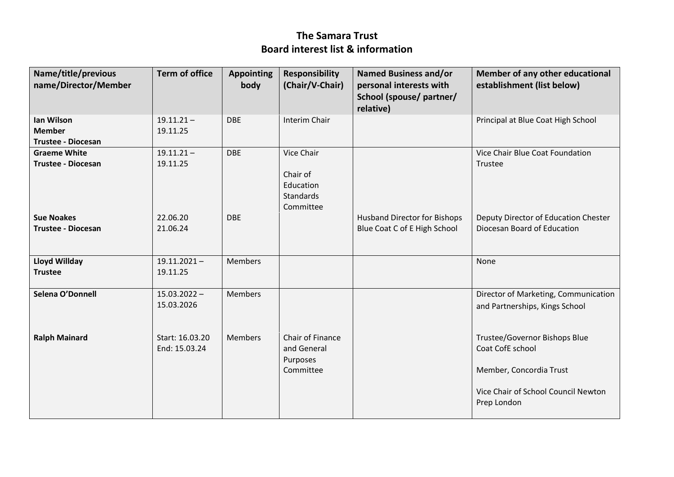## **The Samara Trust Board interest list & information**

| Name/title/previous<br>name/Director/Member | <b>Term of office</b>            | <b>Appointing</b><br>body | <b>Responsibility</b><br>(Chair/V-Chair)    | <b>Named Business and/or</b><br>personal interests with<br>School (spouse/ partner/<br>relative) | Member of any other educational<br>establishment (list below)          |
|---------------------------------------------|----------------------------------|---------------------------|---------------------------------------------|--------------------------------------------------------------------------------------------------|------------------------------------------------------------------------|
| Ian Wilson                                  | $19.11.21 -$                     | <b>DBE</b>                | Interim Chair                               |                                                                                                  | Principal at Blue Coat High School                                     |
| <b>Member</b>                               | 19.11.25                         |                           |                                             |                                                                                                  |                                                                        |
| <b>Trustee - Diocesan</b>                   |                                  |                           |                                             |                                                                                                  |                                                                        |
| <b>Graeme White</b>                         | $19.11.21 -$                     | <b>DBE</b>                | Vice Chair                                  |                                                                                                  | Vice Chair Blue Coat Foundation                                        |
| <b>Trustee - Diocesan</b>                   | 19.11.25                         |                           |                                             |                                                                                                  | Trustee                                                                |
|                                             |                                  |                           | Chair of                                    |                                                                                                  |                                                                        |
|                                             |                                  |                           | Education                                   |                                                                                                  |                                                                        |
|                                             |                                  |                           | Standards                                   |                                                                                                  |                                                                        |
|                                             |                                  |                           | Committee                                   |                                                                                                  |                                                                        |
| <b>Sue Noakes</b>                           | 22.06.20                         | <b>DBE</b>                |                                             | <b>Husband Director for Bishops</b>                                                              | Deputy Director of Education Chester                                   |
| <b>Trustee - Diocesan</b>                   | 21.06.24                         |                           |                                             | Blue Coat C of E High School                                                                     | Diocesan Board of Education                                            |
| Lloyd Willday                               | $19.11.2021 -$                   | <b>Members</b>            |                                             |                                                                                                  | None                                                                   |
| <b>Trustee</b>                              | 19.11.25                         |                           |                                             |                                                                                                  |                                                                        |
| Selena O'Donnell                            | $15.03.2022 -$<br>15.03.2026     | <b>Members</b>            |                                             |                                                                                                  | Director of Marketing, Communication<br>and Partnerships, Kings School |
| <b>Ralph Mainard</b>                        | Start: 16.03.20<br>End: 15.03.24 | <b>Members</b>            | Chair of Finance<br>and General<br>Purposes |                                                                                                  | Trustee/Governor Bishops Blue<br>Coat CofE school                      |
|                                             |                                  |                           | Committee                                   |                                                                                                  | Member, Concordia Trust                                                |
|                                             |                                  |                           |                                             |                                                                                                  | Vice Chair of School Council Newton<br>Prep London                     |